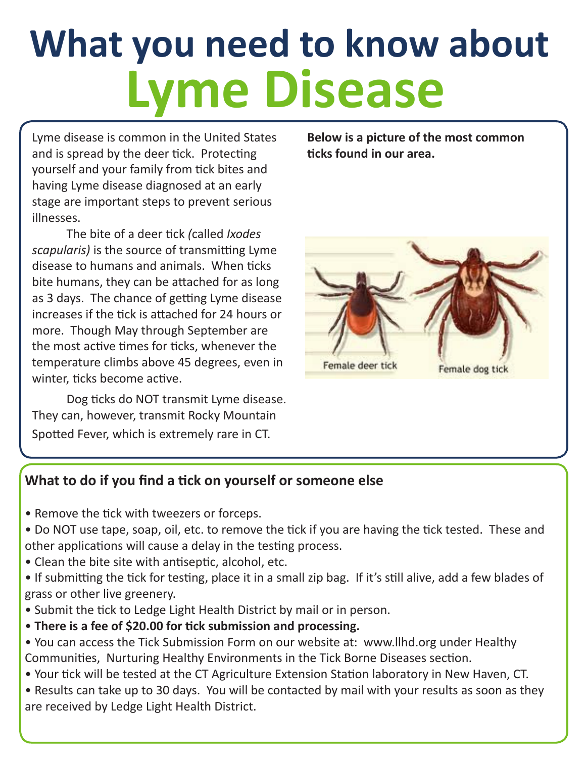# **What you need to know about Lyme Disease**

Lyme disease is common in the United States and is spread by the deer tick. Protecting yourself and your family from tick bites and having Lyme disease diagnosed at an early stage are important steps to prevent serious illnesses.

The bite of a deer tick *(*called *Ixodes scapularis)* is the source of transmitting Lyme disease to humans and animals. When ticks bite humans, they can be attached for as long as 3 days. The chance of getting Lyme disease increases if the tick is attached for 24 hours or more. Though May through September are the most active times for ticks, whenever the temperature climbs above 45 degrees, even in winter, ticks become active.

Dog ticks do NOT transmit Lyme disease. They can, however, transmit Rocky Mountain Spotted Fever, which is extremely rare in CT.

**Below is a picture of the most common ticks found in our area.**



#### **What to do if you find a tick on yourself or someone else**

- Remove the tick with tweezers or forceps.
- Do NOT use tape, soap, oil, etc. to remove the tick if you are having the tick tested. These and other applications will cause a delay in the testing process.
- Clean the bite site with antiseptic, alcohol, etc.
- If submitting the tick for testing, place it in a small zip bag. If it's still alive, add a few blades of grass or other live greenery.
- Submit the tick to Ledge Light Health District by mail or in person.
- **There is a fee of \$20.00 for tick submission and processing.**
- You can access the Tick Submission Form on our website at: www.llhd.org under Healthy Communities, Nurturing Healthy Environments in the Tick Borne Diseases section.
- Your tick will be tested at the CT Agriculture Extension Station laboratory in New Haven, CT.
- Results can take up to 30 days. You will be contacted by mail with your results as soon as they are received by Ledge Light Health District.